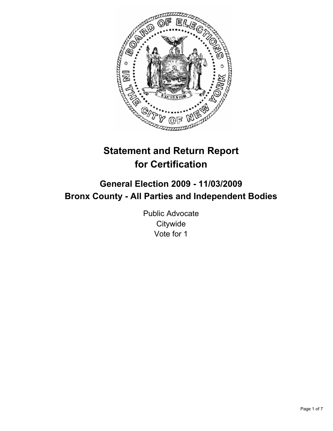

# **Statement and Return Report for Certification**

# **General Election 2009 - 11/03/2009 Bronx County - All Parties and Independent Bodies**

Public Advocate **Citywide** Vote for 1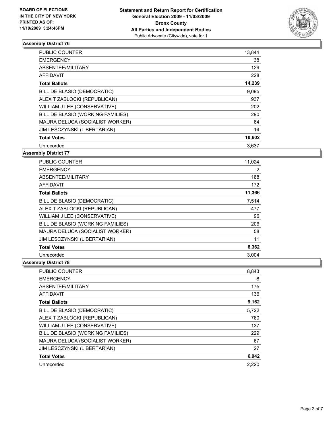

| <b>PUBLIC COUNTER</b>             | 13,844 |
|-----------------------------------|--------|
| <b>EMERGENCY</b>                  | 38     |
| ABSENTEE/MILITARY                 | 129    |
| AFFIDAVIT                         | 228    |
| <b>Total Ballots</b>              | 14,239 |
| BILL DE BLASIO (DEMOCRATIC)       | 9,095  |
| ALEX T ZABLOCKI (REPUBLICAN)      | 937    |
| WILLIAM J LEE (CONSERVATIVE)      | 202    |
| BILL DE BLASIO (WORKING FAMILIES) | 290    |
| MAURA DELUCA (SOCIALIST WORKER)   | 64     |
| JIM LESCZYNSKI (LIBERTARIAN)      | 14     |
| <b>Total Votes</b>                | 10,602 |
| Unrecorded                        | 3,637  |

#### **Assembly District 77**

| <b>PUBLIC COUNTER</b>             | 11,024 |
|-----------------------------------|--------|
| <b>EMERGENCY</b>                  | 2      |
| ABSENTEE/MILITARY                 | 168    |
| <b>AFFIDAVIT</b>                  | 172    |
| <b>Total Ballots</b>              | 11,366 |
| BILL DE BLASIO (DEMOCRATIC)       | 7,514  |
| ALEX T ZABLOCKI (REPUBLICAN)      | 477    |
| WILLIAM J LEE (CONSERVATIVE)      | 96     |
| BILL DE BLASIO (WORKING FAMILIES) | 206    |
| MAURA DELUCA (SOCIALIST WORKER)   | 58     |
| JIM LESCZYNSKI (LIBERTARIAN)      | 11     |
| <b>Total Votes</b>                | 8,362  |
| Unrecorded                        | 3,004  |

| <b>PUBLIC COUNTER</b>             | 8,843 |
|-----------------------------------|-------|
| <b>EMERGENCY</b>                  | 8     |
| ABSENTEE/MILITARY                 | 175   |
| <b>AFFIDAVIT</b>                  | 136   |
| <b>Total Ballots</b>              | 9,162 |
| BILL DE BLASIO (DEMOCRATIC)       | 5,722 |
| ALEX T ZABLOCKI (REPUBLICAN)      | 760   |
| WILLIAM J LEE (CONSERVATIVE)      | 137   |
| BILL DE BLASIO (WORKING FAMILIES) | 229   |
| MAURA DELUCA (SOCIALIST WORKER)   | 67    |
| JIM LESCZYNSKI (LIBERTARIAN)      | 27    |
| <b>Total Votes</b>                | 6,942 |
| Unrecorded                        | 2.220 |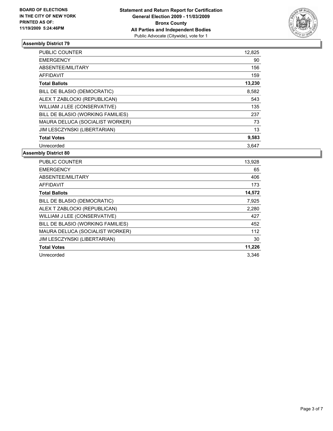

| <b>PUBLIC COUNTER</b>             | 12,825 |
|-----------------------------------|--------|
| <b>EMERGENCY</b>                  | 90     |
| ABSENTEE/MILITARY                 | 156    |
| <b>AFFIDAVIT</b>                  | 159    |
| <b>Total Ballots</b>              | 13,230 |
| BILL DE BLASIO (DEMOCRATIC)       | 8,582  |
| ALEX T ZABLOCKI (REPUBLICAN)      | 543    |
| WILLIAM J LEE (CONSERVATIVE)      | 135    |
| BILL DE BLASIO (WORKING FAMILIES) | 237    |
| MAURA DELUCA (SOCIALIST WORKER)   | 73     |
| JIM LESCZYNSKI (LIBERTARIAN)      | 13     |
| <b>Total Votes</b>                | 9,583  |
| Unrecorded                        | 3,647  |

| PUBLIC COUNTER                      | 13,928 |
|-------------------------------------|--------|
| <b>EMERGENCY</b>                    | 65     |
| ABSENTEE/MILITARY                   | 406    |
| <b>AFFIDAVIT</b>                    | 173    |
| <b>Total Ballots</b>                | 14,572 |
| BILL DE BLASIO (DEMOCRATIC)         | 7,925  |
| ALEX T ZABLOCKI (REPUBLICAN)        | 2,280  |
| WILLIAM J LEE (CONSERVATIVE)        | 427    |
| BILL DE BLASIO (WORKING FAMILIES)   | 452    |
| MAURA DELUCA (SOCIALIST WORKER)     | 112    |
| <b>JIM LESCZYNSKI (LIBERTARIAN)</b> | 30     |
| <b>Total Votes</b>                  | 11,226 |
| Unrecorded                          | 3.346  |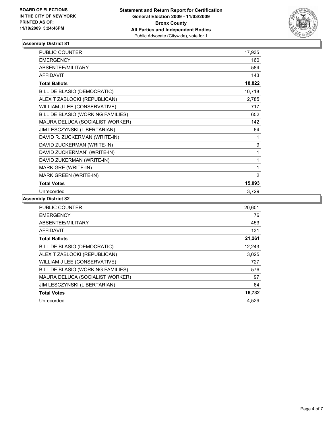

| <b>PUBLIC COUNTER</b>             | 17,935 |
|-----------------------------------|--------|
| <b>EMERGENCY</b>                  | 160    |
| ABSENTEE/MILITARY                 | 584    |
| <b>AFFIDAVIT</b>                  | 143    |
| <b>Total Ballots</b>              | 18,822 |
| BILL DE BLASIO (DEMOCRATIC)       | 10,718 |
| ALEX T ZABLOCKI (REPUBLICAN)      | 2,785  |
| WILLIAM J LEE (CONSERVATIVE)      | 717    |
| BILL DE BLASIO (WORKING FAMILIES) | 652    |
| MAURA DELUCA (SOCIALIST WORKER)   | 142    |
| JIM LESCZYNSKI (LIBERTARIAN)      | 64     |
| DAVID R. ZUCKERMAN (WRITE-IN)     | 1      |
| DAVID ZUCKERMAN (WRITE-IN)        | 9      |
| DAVID ZUCKERMAN' (WRITE-IN)       | 1      |
| DAVID ZUKERMAN (WRITE-IN)         | 1      |
| MARK GRE (WRITE-IN)               | 1      |
| MARK GREEN (WRITE-IN)             | 2      |
| <b>Total Votes</b>                | 15,093 |
| Unrecorded                        | 3,729  |

| <b>PUBLIC COUNTER</b>             | 20,601 |
|-----------------------------------|--------|
| <b>EMERGENCY</b>                  | 76     |
| ABSENTEE/MILITARY                 | 453    |
| <b>AFFIDAVIT</b>                  | 131    |
| <b>Total Ballots</b>              | 21,261 |
| BILL DE BLASIO (DEMOCRATIC)       | 12.243 |
| ALEX T ZABLOCKI (REPUBLICAN)      | 3,025  |
| WILLIAM J LEE (CONSERVATIVE)      | 727    |
| BILL DE BLASIO (WORKING FAMILIES) | 576    |
| MAURA DELUCA (SOCIALIST WORKER)   | 97     |
| JIM LESCZYNSKI (LIBERTARIAN)      | 64     |
| <b>Total Votes</b>                | 16,732 |
| Unrecorded                        | 4.529  |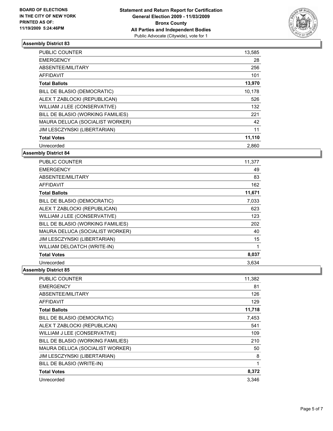

| <b>PUBLIC COUNTER</b>             | 13,585 |
|-----------------------------------|--------|
| <b>EMERGENCY</b>                  | 28     |
| ABSENTEE/MILITARY                 | 256    |
| AFFIDAVIT                         | 101    |
| <b>Total Ballots</b>              | 13,970 |
| BILL DE BLASIO (DEMOCRATIC)       | 10,178 |
| ALEX T ZABLOCKI (REPUBLICAN)      | 526    |
| WILLIAM J LEE (CONSERVATIVE)      | 132    |
| BILL DE BLASIO (WORKING FAMILIES) | 221    |
| MAURA DELUCA (SOCIALIST WORKER)   | 42     |
| JIM LESCZYNSKI (LIBERTARIAN)      | 11     |
| <b>Total Votes</b>                | 11,110 |
| Unrecorded                        | 2,860  |

#### **Assembly District 84**

| <b>PUBLIC COUNTER</b>             | 11,377 |
|-----------------------------------|--------|
| <b>EMERGENCY</b>                  | 49     |
| ABSENTEE/MILITARY                 | 83     |
| <b>AFFIDAVIT</b>                  | 162    |
| <b>Total Ballots</b>              | 11,671 |
| BILL DE BLASIO (DEMOCRATIC)       | 7,033  |
| ALEX T ZABLOCKI (REPUBLICAN)      | 623    |
| WILLIAM J LEE (CONSERVATIVE)      | 123    |
| BILL DE BLASIO (WORKING FAMILIES) | 202    |
| MAURA DELUCA (SOCIALIST WORKER)   | 40     |
| JIM LESCZYNSKI (LIBERTARIAN)      | 15     |
| WILLIAM DELOATCH (WRITE-IN)       | 1      |
| <b>Total Votes</b>                | 8,037  |
| Unrecorded                        | 3,634  |

| <b>PUBLIC COUNTER</b>             | 11,382 |
|-----------------------------------|--------|
| <b>EMERGENCY</b>                  | 81     |
| ABSENTEE/MILITARY                 | 126    |
| <b>AFFIDAVIT</b>                  | 129    |
| <b>Total Ballots</b>              | 11,718 |
| BILL DE BLASIO (DEMOCRATIC)       | 7,453  |
| ALEX T ZABLOCKI (REPUBLICAN)      | 541    |
| WILLIAM J LEE (CONSERVATIVE)      | 109    |
| BILL DE BLASIO (WORKING FAMILIES) | 210    |
| MAURA DELUCA (SOCIALIST WORKER)   | 50     |
| JIM LESCZYNSKI (LIBERTARIAN)      | 8      |
| BILL DE BLASIO (WRITE-IN)         | 1      |
| <b>Total Votes</b>                | 8,372  |
| Unrecorded                        | 3.346  |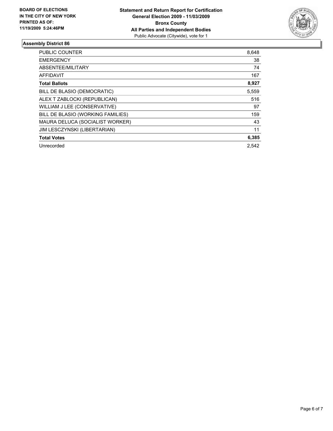

| PUBLIC COUNTER                    | 8,648 |
|-----------------------------------|-------|
| <b>EMERGENCY</b>                  | 38    |
| ABSENTEE/MILITARY                 | 74    |
| <b>AFFIDAVIT</b>                  | 167   |
| <b>Total Ballots</b>              | 8,927 |
| BILL DE BLASIO (DEMOCRATIC)       | 5,559 |
| ALEX T ZABLOCKI (REPUBLICAN)      | 516   |
| WILLIAM J LEE (CONSERVATIVE)      | 97    |
| BILL DE BLASIO (WORKING FAMILIES) | 159   |
| MAURA DELUCA (SOCIALIST WORKER)   | 43    |
| JIM LESCZYNSKI (LIBERTARIAN)      | 11    |
| <b>Total Votes</b>                | 6,385 |
| Unrecorded                        | 2.542 |